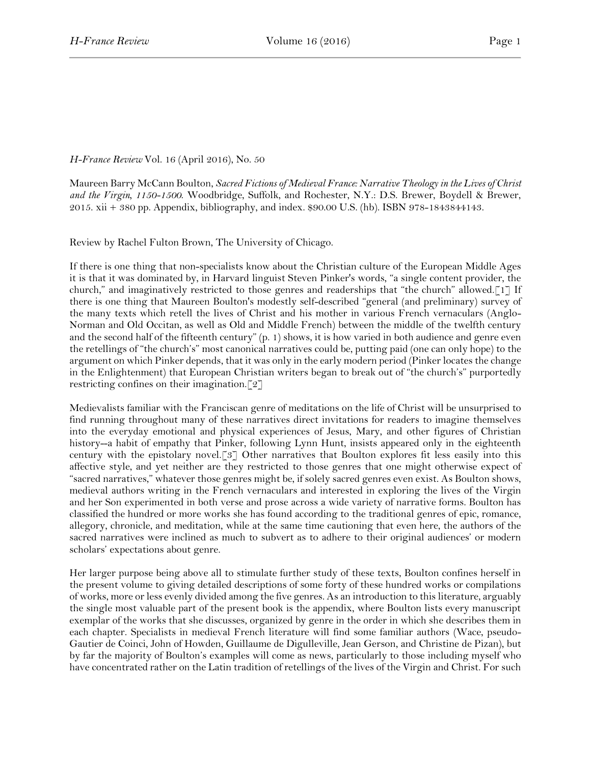## *H-France Review* Vol. 16 (April 2016), No. 50

Maureen Barry McCann Boulton, *Sacred Fictions of Medieval France: Narrative Theology in the Lives of Christ and the Virgin, 1150-1500*. Woodbridge, Suffolk, and Rochester, N.Y.: D.S. Brewer, Boydell & Brewer, 2015. xii + 380 pp. Appendix, bibliography, and index. \$90.00 U.S. (hb). ISBN 978-1843844143.

Review by Rachel Fulton Brown, The University of Chicago.

If there is one thing that non-specialists know about the Christian culture of the European Middle Ages it is that it was dominated by, in Harvard linguist Steven Pinker's words, "a single content provider, the church," and imaginatively restricted to those genres and readerships that "the church" allowed.[1] If there is one thing that Maureen Boulton's modestly self-described "general (and preliminary) survey of the many texts which retell the lives of Christ and his mother in various French vernaculars (Anglo-Norman and Old Occitan, as well as Old and Middle French) between the middle of the twelfth century and the second half of the fifteenth century" (p. 1) shows, it is how varied in both audience and genre even the retellings of "the church's" most canonical narratives could be, putting paid (one can only hope) to the argument on which Pinker depends, that it was only in the early modern period (Pinker locates the change in the Enlightenment) that European Christian writers began to break out of "the church's" purportedly restricting confines on their imagination.[2]

Medievalists familiar with the Franciscan genre of meditations on the life of Christ will be unsurprised to find running throughout many of these narratives direct invitations for readers to imagine themselves into the everyday emotional and physical experiences of Jesus, Mary, and other figures of Christian history--a habit of empathy that Pinker, following Lynn Hunt, insists appeared only in the eighteenth century with the epistolary novel.[3] Other narratives that Boulton explores fit less easily into this affective style, and yet neither are they restricted to those genres that one might otherwise expect of "sacred narratives," whatever those genres might be, if solely sacred genres even exist. As Boulton shows, medieval authors writing in the French vernaculars and interested in exploring the lives of the Virgin and her Son experimented in both verse and prose across a wide variety of narrative forms. Boulton has classified the hundred or more works she has found according to the traditional genres of epic, romance, allegory, chronicle, and meditation, while at the same time cautioning that even here, the authors of the sacred narratives were inclined as much to subvert as to adhere to their original audiences' or modern scholars' expectations about genre.

Her larger purpose being above all to stimulate further study of these texts, Boulton confines herself in the present volume to giving detailed descriptions of some forty of these hundred works or compilations of works, more or less evenly divided among the five genres. As an introduction to this literature, arguably the single most valuable part of the present book is the appendix, where Boulton lists every manuscript exemplar of the works that she discusses, organized by genre in the order in which she describes them in each chapter. Specialists in medieval French literature will find some familiar authors (Wace, pseudo-Gautier de Coinci, John of Howden, Guillaume de Digulleville, Jean Gerson, and Christine de Pizan), but by far the majority of Boulton's examples will come as news, particularly to those including myself who have concentrated rather on the Latin tradition of retellings of the lives of the Virgin and Christ. For such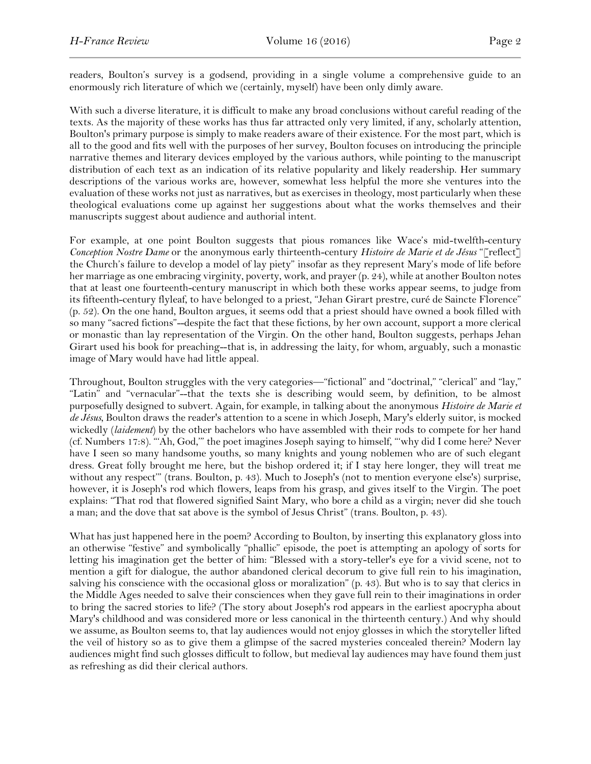readers, Boulton's survey is a godsend, providing in a single volume a comprehensive guide to an enormously rich literature of which we (certainly, myself) have been only dimly aware.

With such a diverse literature, it is difficult to make any broad conclusions without careful reading of the texts. As the majority of these works has thus far attracted only very limited, if any, scholarly attention, Boulton's primary purpose is simply to make readers aware of their existence. For the most part, which is all to the good and fits well with the purposes of her survey, Boulton focuses on introducing the principle narrative themes and literary devices employed by the various authors, while pointing to the manuscript distribution of each text as an indication of its relative popularity and likely readership. Her summary descriptions of the various works are, however, somewhat less helpful the more she ventures into the evaluation of these works not just as narratives, but as exercises in theology, most particularly when these theological evaluations come up against her suggestions about what the works themselves and their manuscripts suggest about audience and authorial intent.

For example, at one point Boulton suggests that pious romances like Wace's mid-twelfth-century *Conception Nostre Dame* or the anonymous early thirteenth-century *Histoire de Marie et de Jésus* "[reflect] the Church's failure to develop a model of lay piety" insofar as they represent Mary's mode of life before her marriage as one embracing virginity, poverty, work, and prayer (p. 24), while at another Boulton notes that at least one fourteenth-century manuscript in which both these works appear seems, to judge from its fifteenth-century flyleaf, to have belonged to a priest, "Jehan Girart prestre, curé de Saincte Florence" (p. 52). On the one hand, Boulton argues, it seems odd that a priest should have owned a book filled with so many "sacred fictions"--despite the fact that these fictions, by her own account, support a more clerical or monastic than lay representation of the Virgin. On the other hand, Boulton suggests, perhaps Jehan Girart used his book for preaching--that is, in addressing the laity, for whom, arguably, such a monastic image of Mary would have had little appeal.

Throughout, Boulton struggles with the very categories—"fictional" and "doctrinal," "clerical" and "lay," "Latin" and "vernacular"--that the texts she is describing would seem, by definition, to be almost purposefully designed to subvert. Again, for example, in talking about the anonymous *Histoire de Marie et de Jésus*, Boulton draws the reader's attention to a scene in which Joseph, Mary's elderly suitor, is mocked wickedly (*laidement*) by the other bachelors who have assembled with their rods to compete for her hand (cf. Numbers 17:8). "'Ah, God,'" the poet imagines Joseph saying to himself, "'why did I come here? Never have I seen so many handsome youths, so many knights and young noblemen who are of such elegant dress. Great folly brought me here, but the bishop ordered it; if I stay here longer, they will treat me without any respect'" (trans. Boulton, p. 43). Much to Joseph's (not to mention everyone else's) surprise, however, it is Joseph's rod which flowers, leaps from his grasp, and gives itself to the Virgin. The poet explains: "That rod that flowered signified Saint Mary, who bore a child as a virgin; never did she touch a man; and the dove that sat above is the symbol of Jesus Christ" (trans. Boulton, p. 43).

What has just happened here in the poem? According to Boulton, by inserting this explanatory gloss into an otherwise "festive" and symbolically "phallic" episode, the poet is attempting an apology of sorts for letting his imagination get the better of him: "Blessed with a story-teller's eye for a vivid scene, not to mention a gift for dialogue, the author abandoned clerical decorum to give full rein to his imagination, salving his conscience with the occasional gloss or moralization" (p. 43). But who is to say that clerics in the Middle Ages needed to salve their consciences when they gave full rein to their imaginations in order to bring the sacred stories to life? (The story about Joseph's rod appears in the earliest apocrypha about Mary's childhood and was considered more or less canonical in the thirteenth century.) And why should we assume, as Boulton seems to, that lay audiences would not enjoy glosses in which the storyteller lifted the veil of history so as to give them a glimpse of the sacred mysteries concealed therein? Modern lay audiences might find such glosses difficult to follow, but medieval lay audiences may have found them just as refreshing as did their clerical authors.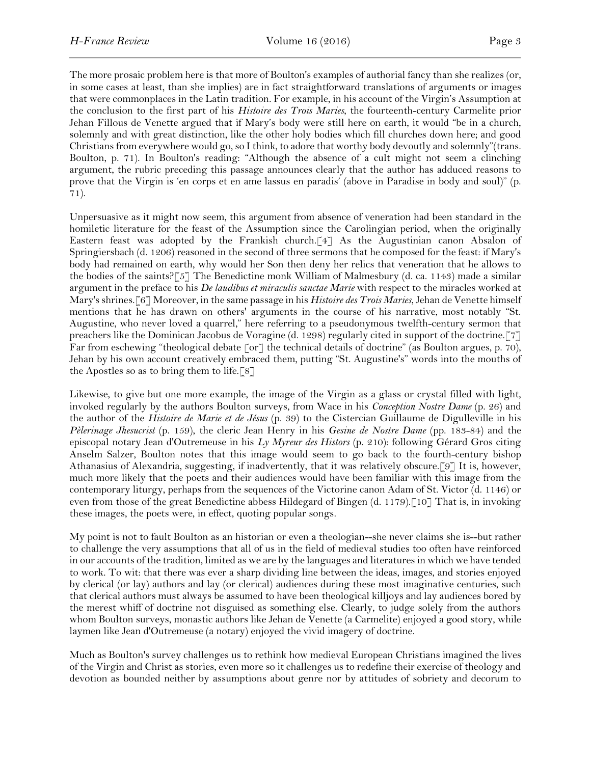The more prosaic problem here is that more of Boulton's examples of authorial fancy than she realizes (or, in some cases at least, than she implies) are in fact straightforward translations of arguments or images that were commonplaces in the Latin tradition. For example, in his account of the Virgin's Assumption at the conclusion to the first part of his *Histoire des Trois Maries*, the fourteenth-century Carmelite prior Jehan Fillous de Venette argued that if Mary's body were still here on earth, it would "be in a church, solemnly and with great distinction, like the other holy bodies which fill churches down here; and good Christians from everywhere would go, so I think, to adore that worthy body devoutly and solemnly"(trans. Boulton, p. 71). In Boulton's reading: "Although the absence of a cult might not seem a clinching argument, the rubric preceding this passage announces clearly that the author has adduced reasons to prove that the Virgin is 'en corps et en ame lassus en paradis' (above in Paradise in body and soul)" (p. 71).

Unpersuasive as it might now seem, this argument from absence of veneration had been standard in the homiletic literature for the feast of the Assumption since the Carolingian period, when the originally Eastern feast was adopted by the Frankish church.[4] As the Augustinian canon Absalon of Springiersbach (d. 1206) reasoned in the second of three sermons that he composed for the feast: if Mary's body had remained on earth, why would her Son then deny her relics that veneration that he allows to the bodies of the saints?[5] The Benedictine monk William of Malmesbury (d. ca. 1143) made a similar argument in the preface to his *De laudibus et miraculis sanctae Marie* with respect to the miracles worked at Mary's shrines.[6] Moreover, in the same passage in his *Histoire des Trois Maries*, Jehan de Venette himself mentions that he has drawn on others' arguments in the course of his narrative, most notably "St. Augustine, who never loved a quarrel," here referring to a pseudonymous twelfth-century sermon that preachers like the Dominican Jacobus de Voragine (d. 1298) regularly cited in support of the doctrine.[7] Far from eschewing "theological debate  $\lceil \text{or} \rceil$  the technical details of doctrine" (as Boulton argues, p. 70), Jehan by his own account creatively embraced them, putting "St. Augustine's" words into the mouths of the Apostles so as to bring them to life.[8]

Likewise, to give but one more example, the image of the Virgin as a glass or crystal filled with light, invoked regularly by the authors Boulton surveys, from Wace in his *Conception Nostre Dame* (p. 26) and the author of the *Histoire de Marie et de Jésus* (p. 39) to the Cistercian Guillaume de Digulleville in his *Pèlerinage Jhesucrist* (p. 159), the cleric Jean Henry in his *Gesine de Nostre Dame* (pp. 183-84) and the episcopal notary Jean d'Outremeuse in his *Ly Myreur des Histors* (p. 210): following Gérard Gros citing Anselm Salzer, Boulton notes that this image would seem to go back to the fourth-century bishop Athanasius of Alexandria, suggesting, if inadvertently, that it was relatively obscure.[9] It is, however, much more likely that the poets and their audiences would have been familiar with this image from the contemporary liturgy, perhaps from the sequences of the Victorine canon Adam of St. Victor (d. 1146) or even from those of the great Benedictine abbess Hildegard of Bingen (d. 1179).<sup>[10]</sup> That is, in invoking these images, the poets were, in effect, quoting popular songs.

My point is not to fault Boulton as an historian or even a theologian--she never claims she is--but rather to challenge the very assumptions that all of us in the field of medieval studies too often have reinforced in our accounts of the tradition, limited as we are by the languages and literatures in which we have tended to work. To wit: that there was ever a sharp dividing line between the ideas, images, and stories enjoyed by clerical (or lay) authors and lay (or clerical) audiences during these most imaginative centuries, such that clerical authors must always be assumed to have been theological killjoys and lay audiences bored by the merest whiff of doctrine not disguised as something else. Clearly, to judge solely from the authors whom Boulton surveys, monastic authors like Jehan de Venette (a Carmelite) enjoyed a good story, while laymen like Jean d'Outremeuse (a notary) enjoyed the vivid imagery of doctrine.

Much as Boulton's survey challenges us to rethink how medieval European Christians imagined the lives of the Virgin and Christ as stories, even more so it challenges us to redefine their exercise of theology and devotion as bounded neither by assumptions about genre nor by attitudes of sobriety and decorum to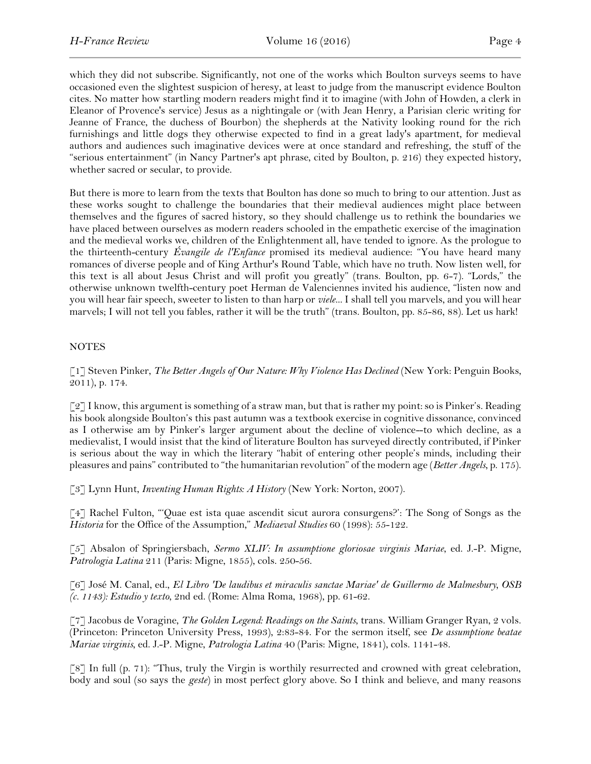which they did not subscribe. Significantly, not one of the works which Boulton surveys seems to have occasioned even the slightest suspicion of heresy, at least to judge from the manuscript evidence Boulton cites. No matter how startling modern readers might find it to imagine (with John of Howden, a clerk in Eleanor of Provence's service) Jesus as a nightingale or (with Jean Henry, a Parisian cleric writing for Jeanne of France, the duchess of Bourbon) the shepherds at the Nativity looking round for the rich furnishings and little dogs they otherwise expected to find in a great lady's apartment, for medieval authors and audiences such imaginative devices were at once standard and refreshing, the stuff of the "serious entertainment" (in Nancy Partner's apt phrase, cited by Boulton, p. 216) they expected history, whether sacred or secular, to provide.

But there is more to learn from the texts that Boulton has done so much to bring to our attention. Just as these works sought to challenge the boundaries that their medieval audiences might place between themselves and the figures of sacred history, so they should challenge us to rethink the boundaries we have placed between ourselves as modern readers schooled in the empathetic exercise of the imagination and the medieval works we, children of the Enlightenment all, have tended to ignore. As the prologue to the thirteenth-century *Évangile de l'Enfance* promised its medieval audience: "You have heard many romances of diverse people and of King Arthur's Round Table, which have no truth. Now listen well, for this text is all about Jesus Christ and will profit you greatly" (trans. Boulton, pp. 6-7). "Lords," the otherwise unknown twelfth-century poet Herman de Valenciennes invited his audience, "listen now and you will hear fair speech, sweeter to listen to than harp or *viele*... I shall tell you marvels, and you will hear marvels; I will not tell you fables, rather it will be the truth" (trans. Boulton, pp. 85-86, 88). Let us hark!

## **NOTES**

[1] Steven Pinker, *The Better Angels of Our Nature: Why Violence Has Declined* (New York: Penguin Books, 2011), p. 174.

[2] I know, this argument is something of a straw man, but that is rather my point: so is Pinker's. Reading his book alongside Boulton's this past autumn was a textbook exercise in cognitive dissonance, convinced as I otherwise am by Pinker's larger argument about the decline of violence--to which decline, as a medievalist, I would insist that the kind of literature Boulton has surveyed directly contributed, if Pinker is serious about the way in which the literary "habit of entering other people's minds, including their pleasures and pains" contributed to "the humanitarian revolution" of the modern age (*Better Angels*, p. 175).

[3] Lynn Hunt, *Inventing Human Rights: A History* (New York: Norton, 2007).

[4] Rachel Fulton, "'Quae est ista quae ascendit sicut aurora consurgens?': The Song of Songs as the *Historia* for the Office of the Assumption," *Mediaeval Studies* 60 (1998): 55-122.

[5] Absalon of Springiersbach, *Sermo XLIV: In assumptione gloriosae virginis Mariae*, ed. J.-P. Migne, *Patrologia Latina* 211 (Paris: Migne, 1855), cols. 250-56.

[6] José M. Canal, ed., *El Libro 'De laudibus et miraculis sanctae Mariae' de Guillermo de Malmesbury, OSB (c. 1143): Estudio y texto*, 2nd ed. (Rome: Alma Roma, 1968), pp. 61-62.

[7] Jacobus de Voragine, *The Golden Legend: Readings on the Saints*, trans. William Granger Ryan, 2 vols. (Princeton: Princeton University Press, 1993), 2:83-84. For the sermon itself, see *De assumptione beatae Mariae virginis*, ed. J.-P. Migne, *Patrologia Latina* 40 (Paris: Migne, 1841), cols. 1141-48.

[8] In full (p. 71): "Thus, truly the Virgin is worthily resurrected and crowned with great celebration, body and soul (so says the *geste*) in most perfect glory above. So I think and believe, and many reasons